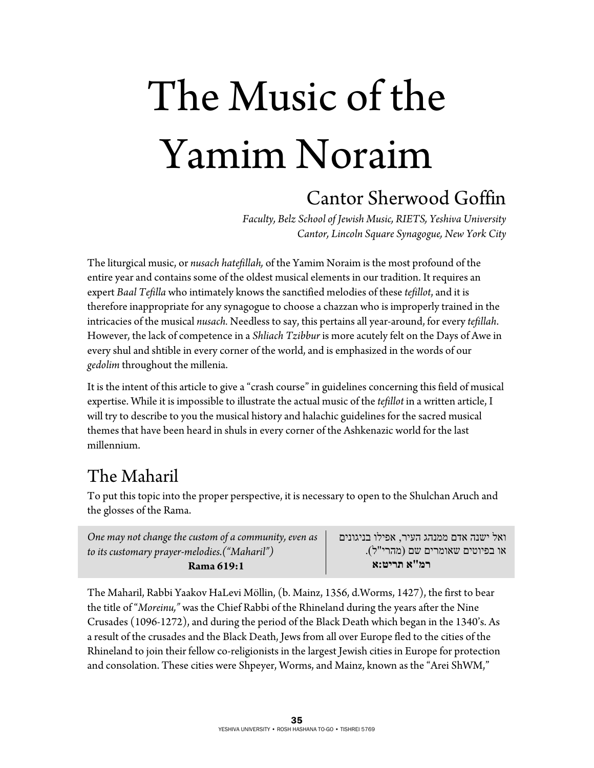# The Music of the Yamim Noraim Cantor Sherwood Goffin

*Faculty, Belz School of Jewish Music, RIETS, Yeshiva University Cantor, Lincoln Square Synagogue, New York City* 

The liturgical music, or *nusach hatefillah,* of the Yamim Noraim is the most profound of the entire year and contains some of the oldest musical elements in our tradition. It requires an expert *Baal Tefilla* who intimately knows the sanctified melodies of these *tefillot*, and it is therefore inappropriate for any synagogue to choose a chazzan who is improperly trained in the intricacies of the musical *nusach.* Needless to say, this pertains all year-around, for every *tefillah*. However, the lack of competence in a *Shliach Tzibbur* is more acutely felt on the Days of Awe in every shul and shtible in every corner of the world, and is emphasized in the words of our *gedolim* throughout the millenia.

It is the intent of this article to give a "crash course" in guidelines concerning this field of musical expertise. While it is impossible to illustrate the actual music of the *tefillot* in a written article, I will try to describe to you the musical history and halachic guidelines for the sacred musical themes that have been heard in shuls in every corner of the Ashkenazic world for the last millennium.

### The Maharil

To put this topic into the proper perspective, it is necessary to open to the Shulchan Aruch and the glosses of the Rama.

| One may not change the custom of a community, even as | ואל ישנה אדם ממנהג העיר, אפילו בניגונים |
|-------------------------------------------------------|-----------------------------------------|
| to its customary prayer-melodies.("Maharil")          | או בפיוטים שאומרים שם (מהרי"ל).         |
| Rama 619:1                                            | רמ"א תריט:א                             |

The Maharil, Rabbi Yaakov HaLevi Möllin, (b. Mainz, 1356, d.Worms, 1427), the first to bear the title of "*Moreinu,"* was the Chief Rabbi of the Rhineland during the years after the Nine Crusades (1096-1272), and during the period of the Black Death which began in the 1340's. As a result of the crusades and the Black Death, Jews from all over Europe fled to the cities of the Rhineland to join their fellow co-religionists in the largest Jewish cities in Europe for protection and consolation. These cities were Shpeyer, Worms, and Mainz, known as the "Arei ShWM,"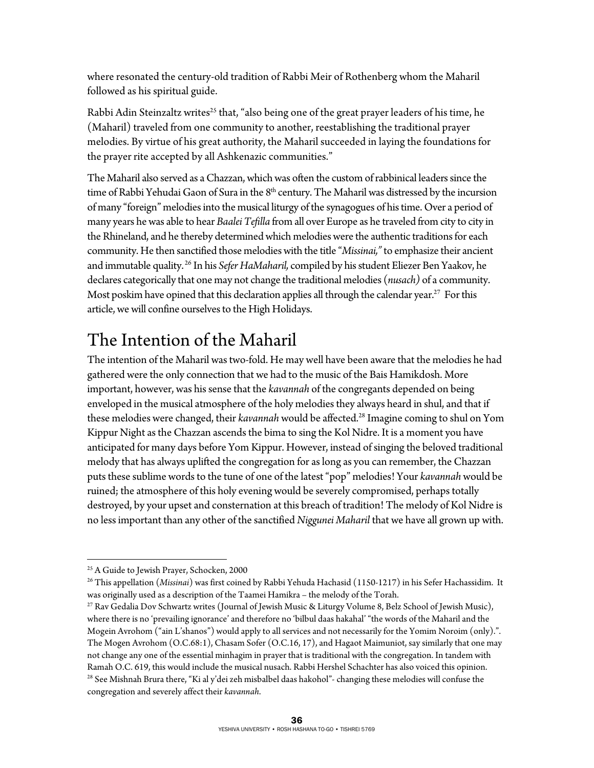where resonated the century-old tradition of Rabbi Meir of Rothenberg whom the Maharil followed as his spiritual guide.

Rabbi Adin Steinzaltz writes<sup>25</sup> that, "also being one of the great prayer leaders of his time, he (Maharil) traveled from one community to another, reestablishing the traditional prayer melodies. By virtue of his great authority, the Maharil succeeded in laying the foundations for the prayer rite accepted by all Ashkenazic communities."

The Maharil also served as a Chazzan, which was often the custom of rabbinical leaders since the time of Rabbi Yehudai Gaon of Sura in the 8<sup>th</sup> century. The Maharil was distressed by the incursion of many "foreign" melodies into the musical liturgy of the synagogues of his time. Over a period of many years he was able to hear *Baalei Tefilla* from all over Europe as he traveled from city to city in the Rhineland, and he thereby determined which melodies were the authentic traditions for each community. He then sanctified those melodies with the title "*Missinai,"* to emphasize their ancient and immutable quality. 26 In his *Sefer HaMaharil,* compiled by his student Eliezer Ben Yaakov, he declares categorically that one may not change the traditional melodies (*nusach)* of a community. Most poskim have opined that this declaration applies all through the calendar year.<sup>27</sup> For this article, we will confine ourselves to the High Holidays.

### The Intention of the Maharil

The intention of the Maharil was two-fold. He may well have been aware that the melodies he had gathered were the only connection that we had to the music of the Bais Hamikdosh. More important, however, was his sense that the *kavannah* of the congregants depended on being enveloped in the musical atmosphere of the holy melodies they always heard in shul, and that if these melodies were changed, their *kavannah* would be affected.<sup>28</sup> Imagine coming to shul on Yom Kippur Night as the Chazzan ascends the bima to sing the Kol Nidre. It is a moment you have anticipated for many days before Yom Kippur. However, instead of singing the beloved traditional melody that has always uplifted the congregation for as long as you can remember, the Chazzan puts these sublime words to the tune of one of the latest "pop" melodies! Your *kavannah* would be ruined; the atmosphere of this holy evening would be severely compromised, perhaps totally destroyed, by your upset and consternation at this breach of tradition! The melody of Kol Nidre is no less important than any other of the sanctified *Niggunei Maharil* that we have all grown up with.

 $\overline{a}$ 

26 This appellation (*Missinai*) was first coined by Rabbi Yehuda Hachasid (1150-1217) in his Sefer Hachassidim. It was originally used as a description of the Taamei Hamikra – the melody of the Torah.<br><sup>27</sup> Rav Gedalia Dov Schwartz writes (Journal of Jewish Music & Liturgy Volume 8, Belz School of Jewish Music),

<sup>&</sup>lt;sup>25</sup> A Guide to Jewish Prayer, Schocken, 2000

where there is no 'prevailing ignorance' and therefore no 'bilbul daas hakahal' "the words of the Maharil and the Mogein Avrohom ("ain L'shanos") would apply to all services and not necessarily for the Yomim Noroim (only).". The Mogen Avrohom (O.C.68:1), Chasam Sofer (O.C.16, 17), and Hagaot Maimuniot, say similarly that one may not change any one of the essential minhagim in prayer that is traditional with the congregation. In tandem with Ramah O.C. 619, this would include the musical nusach. Rabbi Hershel Schachter has also voiced this opinion. <sup>28</sup> See Mishnah Brura there, "Ki al y'dei zeh misbalbel daas hakohol"- changing these melodies will confuse the congregation and severely affect their *kavannah*.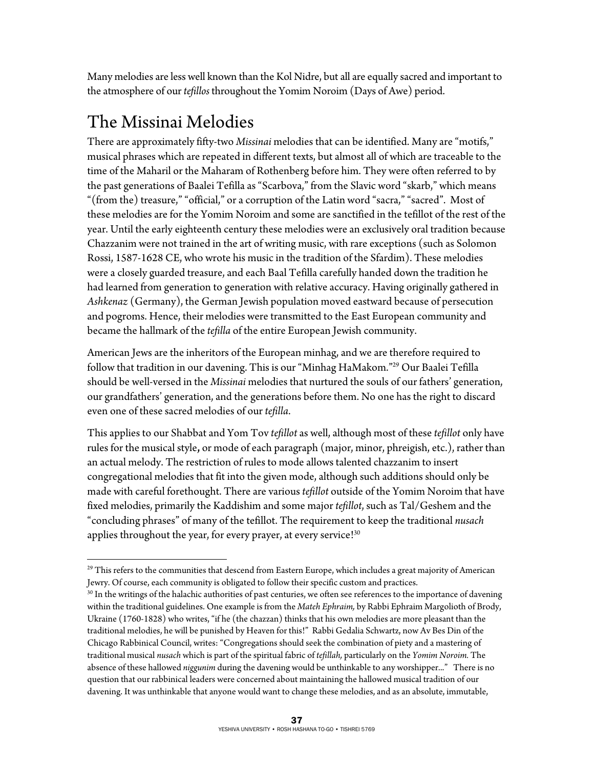Many melodies are less well known than the Kol Nidre, but all are equally sacred and important to the atmosphere of our *tefillos* throughout the Yomim Noroim (Days of Awe) period.

### The Missinai Melodies

There are approximately fifty-two *Missinai* melodies that can be identified. Many are "motifs," musical phrases which are repeated in different texts, but almost all of which are traceable to the time of the Maharil or the Maharam of Rothenberg before him. They were often referred to by the past generations of Baalei Tefilla as "Scarbova," from the Slavic word "skarb," which means "(from the) treasure," "official," or a corruption of the Latin word "sacra," "sacred". Most of these melodies are for the Yomim Noroim and some are sanctified in the tefillot of the rest of the year. Until the early eighteenth century these melodies were an exclusively oral tradition because Chazzanim were not trained in the art of writing music, with rare exceptions (such as Solomon Rossi, 1587-1628 CE, who wrote his music in the tradition of the Sfardim). These melodies were a closely guarded treasure, and each Baal Tefilla carefully handed down the tradition he had learned from generation to generation with relative accuracy. Having originally gathered in *Ashkenaz* (Germany), the German Jewish population moved eastward because of persecution and pogroms. Hence, their melodies were transmitted to the East European community and became the hallmark of the *tefilla* of the entire European Jewish community.

American Jews are the inheritors of the European minhag, and we are therefore required to follow that tradition in our davening. This is our "Minhag HaMakom."29 Our Baalei Tefilla should be well-versed in the *Missinai* melodies that nurtured the souls of our fathers' generation, our grandfathers' generation, and the generations before them. No one has the right to discard even one of these sacred melodies of our *tefilla*.

This applies to our Shabbat and Yom Tov *tefillot* as well, although most of these *tefillot* only have rules for the musical style**,** or mode of each paragraph (major, minor, phreigish, etc.), rather than an actual melody. The restriction of rules to mode allows talented chazzanim to insert congregational melodies that fit into the given mode, although such additions should only be made with careful forethought. There are various *tefillot* outside of the Yomim Noroim that have fixed melodies, primarily the Kaddishim and some major *tefillot*, such as Tal/Geshem and the "concluding phrases" of many of the tefillot. The requirement to keep the traditional *nusach* applies throughout the year, for every prayer, at every service!<sup>30</sup>

 $\overline{a}$  $^{29}$  This refers to the communities that descend from Eastern Europe, which includes a great majority of American Jewry. Of course, each community is obligated to follow their specific custom and practices.

 $30$  In the writings of the halachic authorities of past centuries, we often see references to the importance of davening within the traditional guidelines. One example is from the *Mateh Ephraim,* by Rabbi Ephraim Margolioth of Brody, Ukraine (1760-1828) who writes, "if he (the chazzan) thinks that his own melodies are more pleasant than the traditional melodies, he will be punished by Heaven for this!" Rabbi Gedalia Schwartz, now Av Bes Din of the Chicago Rabbinical Council, writes: "Congregations should seek the combination of piety and a mastering of traditional musical *nusach* which is part of the spiritual fabric of *tefillah,* particularly on the *Yomim Noroim.* The absence of these hallowed *niggunim* during the davening would be unthinkable to any worshipper..." There is no question that our rabbinical leaders were concerned about maintaining the hallowed musical tradition of our davening. It was unthinkable that anyone would want to change these melodies, and as an absolute, immutable,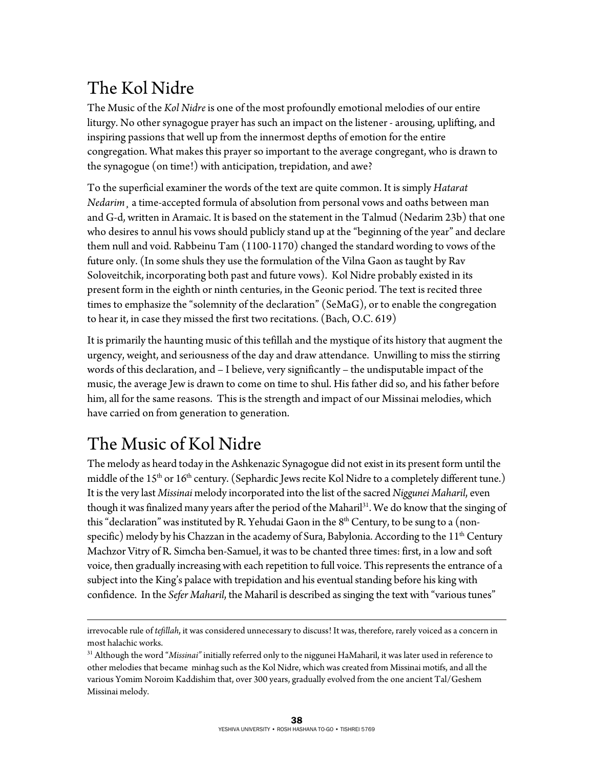# The Kol Nidre

The Music of the *Kol Nidre* is one of the most profoundly emotional melodies of our entire liturgy. No other synagogue prayer has such an impact on the listener - arousing, uplifting, and inspiring passions that well up from the innermost depths of emotion for the entire congregation. What makes this prayer so important to the average congregant, who is drawn to the synagogue (on time!) with anticipation, trepidation, and awe?

To the superficial examiner the words of the text are quite common. It is simply *Hatarat Nedarim*¸ a time-accepted formula of absolution from personal vows and oaths between man and G-d, written in Aramaic. It is based on the statement in the Talmud (Nedarim 23b) that one who desires to annul his vows should publicly stand up at the "beginning of the year" and declare them null and void. Rabbeinu Tam (1100-1170) changed the standard wording to vows of the future only. (In some shuls they use the formulation of the Vilna Gaon as taught by Rav Soloveitchik, incorporating both past and future vows). Kol Nidre probably existed in its present form in the eighth or ninth centuries, in the Geonic period. The text is recited three times to emphasize the "solemnity of the declaration" (SeMaG), or to enable the congregation to hear it, in case they missed the first two recitations. (Bach, O.C. 619)

It is primarily the haunting music of this tefillah and the mystique of its history that augment the urgency, weight, and seriousness of the day and draw attendance. Unwilling to miss the stirring words of this declaration, and – I believe, very significantly – the undisputable impact of the music, the average Jew is drawn to come on time to shul. His father did so, and his father before him, all for the same reasons. This is the strength and impact of our Missinai melodies, which have carried on from generation to generation.

#### The Music of Kol Nidre

1

The melody as heard today in the Ashkenazic Synagogue did not exist in its present form until the middle of the  $15<sup>th</sup>$  or  $16<sup>th</sup>$  century. (Sephardic Jews recite Kol Nidre to a completely different tune.) It is the very last *Missinai* melody incorporated into the list of the sacred *Niggunei Maharil*, even though it was finalized many years after the period of the Maharil<sup>31</sup>. We do know that the singing of this "declaration" was instituted by R. Yehudai Gaon in the  $8<sup>th</sup>$  Century, to be sung to a (nonspecific) melody by his Chazzan in the academy of Sura, Babylonia. According to the  $11<sup>th</sup>$  Century Machzor Vitry of R. Simcha ben-Samuel, it was to be chanted three times: first, in a low and soft voice, then gradually increasing with each repetition to full voice. This represents the entrance of a subject into the King's palace with trepidation and his eventual standing before his king with confidence. In the *Sefer Maharil*, the Maharil is described as singing the text with "various tunes"

irrevocable rule of *tefillah*, it was considered unnecessary to discuss! It was, therefore, rarely voiced as a concern in most halachic works.

<sup>31</sup> Although the word "*Missinai"* initially referred only to the niggunei HaMaharil, it was later used in reference to other melodies that became minhag such as the Kol Nidre, which was created from Missinai motifs, and all the various Yomim Noroim Kaddishim that, over 300 years, gradually evolved from the one ancient Tal/Geshem Missinai melody.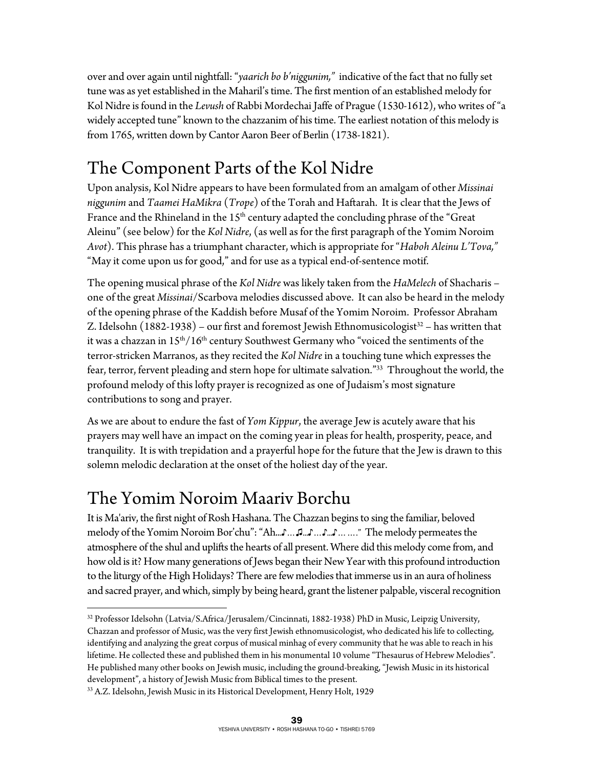over and over again until nightfall: "*yaarich bo b'niggunim,"* indicative of the fact that no fully set tune was as yet established in the Maharil's time. The first mention of an established melody for Kol Nidre is found in the *Levush* of Rabbi Mordechai Jaffe of Prague (1530-1612), who writes of "a widely accepted tune" known to the chazzanim of his time. The earliest notation of this melody is from 1765, written down by Cantor Aaron Beer of Berlin (1738-1821).

# The Component Parts of the Kol Nidre

Upon analysis, Kol Nidre appears to have been formulated from an amalgam of other *Missinai niggunim* and *Taamei HaMikra* (*Trope*) of the Torah and Haftarah. It is clear that the Jews of France and the Rhineland in the  $15<sup>th</sup>$  century adapted the concluding phrase of the "Great" Aleinu" (see below) for the *Kol Nidre*, (as well as for the first paragraph of the Yomim Noroim *Avot*). This phrase has a triumphant character, which is appropriate for "*Haboh Aleinu L'Tova,"* "May it come upon us for good," and for use as a typical end-of-sentence motif.

The opening musical phrase of the *Kol Nidre* was likely taken from the *HaMelech* of Shacharis – one of the great *Missinai*/Scarbova melodies discussed above. It can also be heard in the melody of the opening phrase of the Kaddish before Musaf of the Yomim Noroim. Professor Abraham Z. Idelsohn  $(1882-1938)$  – our first and foremost Jewish Ethnomusicologist<sup>32</sup> – has written that it was a chazzan in  $15<sup>th</sup>/16<sup>th</sup>$  century Southwest Germany who "voiced the sentiments of the terror-stricken Marranos, as they recited the *Kol Nidre* in a touching tune which expresses the fear, terror, fervent pleading and stern hope for ultimate salvation."33 Throughout the world, the profound melody of this lofty prayer is recognized as one of Judaism's most signature contributions to song and prayer.

As we are about to endure the fast of *Yom Kippur*, the average Jew is acutely aware that his prayers may well have an impact on the coming year in pleas for health, prosperity, peace, and tranquility. It is with trepidation and a prayerful hope for the future that the Jew is drawn to this solemn melodic declaration at the onset of the holiest day of the year.

#### The Yomim Noroim Maariv Borchu

It is Ma'ariv, the first night of Rosh Hashana. The Chazzan begins to sing the familiar, beloved melody of the Yomim Noroim Bor'chu": "Ah...♪…♫...♪…♪...♪……." The melody permeates the atmosphere of the shul and uplifts the hearts of all present. Where did this melody come from, and how old is it? How many generations of Jews began their New Year with this profound introduction to the liturgy of the High Holidays? There are few melodies that immerse us in an aura of holiness and sacred prayer, and which, simply by being heard, grant the listener palpable, visceral recognition

 $\overline{a}$ 32 Professor Idelsohn (Latvia/S.Africa/Jerusalem/Cincinnati, 1882-1938) PhD in Music, Leipzig University, Chazzan and professor of Music, was the very first Jewish ethnomusicologist, who dedicated his life to collecting, identifying and analyzing the great corpus of musical minhag of every community that he was able to reach in his lifetime. He collected these and published them in his monumental 10 volume "Thesaurus of Hebrew Melodies". He published many other books on Jewish music, including the ground-breaking, "Jewish Music in its historical development", a history of Jewish Music from Biblical times to the present.<br><sup>33</sup> A.Z. Idelsohn, Jewish Music in its Historical Development, Henry Holt, 1929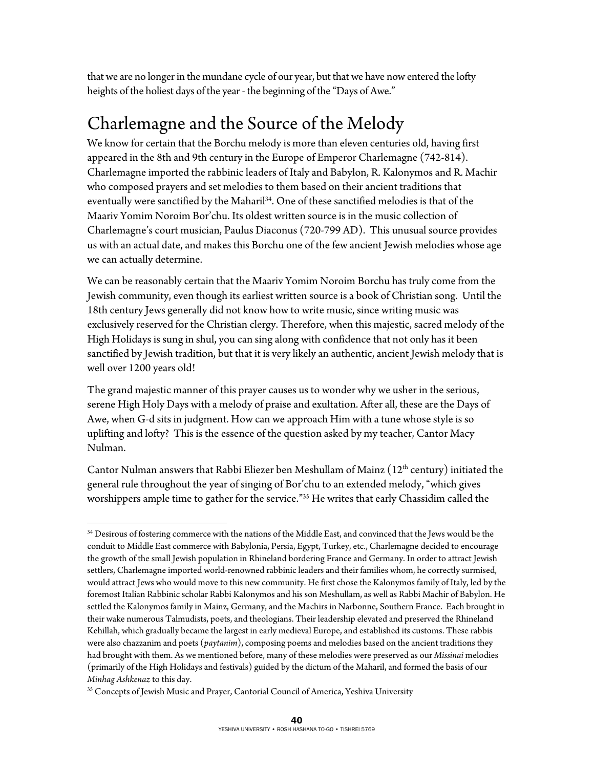that we are no longer in the mundane cycle of our year, but that we have now entered the lofty heights of the holiest days of the year - the beginning of the "Days of Awe."

#### Charlemagne and the Source of the Melody

We know for certain that the Borchu melody is more than eleven centuries old, having first appeared in the 8th and 9th century in the Europe of Emperor Charlemagne (742-814). Charlemagne imported the rabbinic leaders of Italy and Babylon, R. Kalonymos and R. Machir who composed prayers and set melodies to them based on their ancient traditions that eventually were sanctified by the Maharil<sup>34</sup>. One of these sanctified melodies is that of the Maariv Yomim Noroim Bor'chu. Its oldest written source is in the music collection of Charlemagne's court musician, Paulus Diaconus (720-799 AD). This unusual source provides us with an actual date, and makes this Borchu one of the few ancient Jewish melodies whose age we can actually determine.

We can be reasonably certain that the Maariv Yomim Noroim Borchu has truly come from the Jewish community, even though its earliest written source is a book of Christian song. Until the 18th century Jews generally did not know how to write music, since writing music was exclusively reserved for the Christian clergy. Therefore, when this majestic, sacred melody of the High Holidays is sung in shul, you can sing along with confidence that not only has it been sanctified by Jewish tradition, but that it is very likely an authentic, ancient Jewish melody that is well over 1200 years old!

The grand majestic manner of this prayer causes us to wonder why we usher in the serious, serene High Holy Days with a melody of praise and exultation. After all, these are the Days of Awe, when G-d sits in judgment. How can we approach Him with a tune whose style is so uplifting and lofty? This is the essence of the question asked by my teacher, Cantor Macy Nulman.

Cantor Nulman answers that Rabbi Eliezer ben Meshullam of Mainz  $(12<sup>th</sup>$  century) initiated the general rule throughout the year of singing of Bor'chu to an extended melody, "which gives worshippers ample time to gather for the service."<sup>35</sup> He writes that early Chassidim called the

 $\overline{a}$ <sup>34</sup> Desirous of fostering commerce with the nations of the Middle East, and convinced that the Jews would be the conduit to Middle East commerce with Babylonia, Persia, Egypt, Turkey, etc., Charlemagne decided to encourage the growth of the small Jewish population in Rhineland bordering France and Germany. In order to attract Jewish settlers, Charlemagne imported world-renowned rabbinic leaders and their families whom, he correctly surmised, would attract Jews who would move to this new community. He first chose the Kalonymos family of Italy, led by the foremost Italian Rabbinic scholar Rabbi Kalonymos and his son Meshullam, as well as Rabbi Machir of Babylon. He settled the Kalonymos family in Mainz, Germany, and the Machirs in Narbonne, Southern France. Each brought in their wake numerous Talmudists, poets, and theologians. Their leadership elevated and preserved the Rhineland Kehillah, which gradually became the largest in early medieval Europe, and established its customs. These rabbis were also chazzanim and poets (*paytanim*), composing poems and melodies based on the ancient traditions they had brought with them. As we mentioned before, many of these melodies were preserved as our *Missinai* melodies (primarily of the High Holidays and festivals) guided by the dictum of the Maharil, and formed the basis of our *Minhag Ashkenaz* to this day.<br><sup>35</sup> Concepts of Jewish Music and Prayer, Cantorial Council of America, Yeshiva University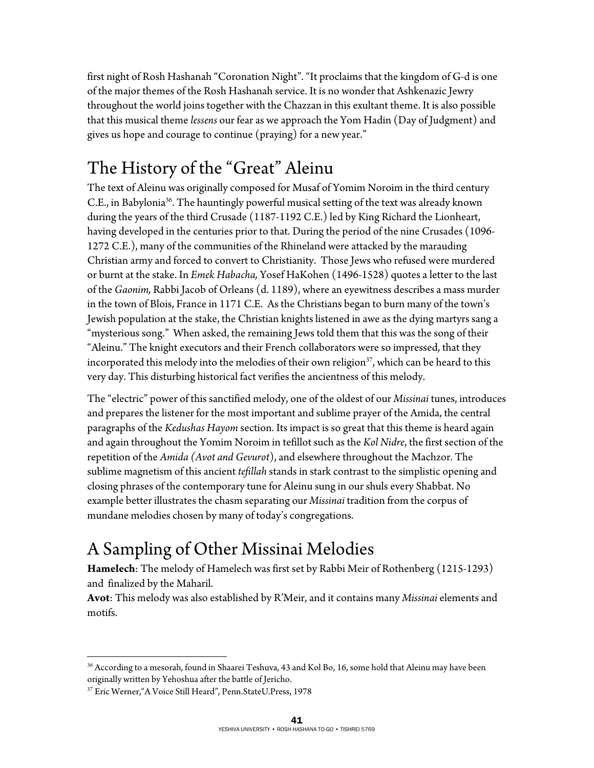first night of Rosh Hashanah "Coronation Night". "It proclaims that the kingdom of G-d is one of the major themes of the Rosh Hashanah service. It is no wonder that Ashkenazic Jewry throughout the world joins together with the Chazzan in this exultant theme. It is also possible that this musical theme *lessens* our fear as we approach the Yom Hadin (Day of Judgment) and gives us hope and courage to continue (praying) for a new year."

# The History of the "Great" Aleinu

The text of Aleinu was originally composed for Musaf of Yomim Noroim in the third century C.E., in Babylonia36. The hauntingly powerful musical setting of the text was already known during the years of the third Crusade (1187-1192 C.E.) led by King Richard the Lionheart, having developed in the centuries prior to that. During the period of the nine Crusades (1096- 1272 C.E.), many of the communities of the Rhineland were attacked by the marauding Christian army and forced to convert to Christianity. Those Jews who refused were murdered or burnt at the stake. In *Emek Habacha,* Yosef HaKohen (1496-1528) quotes a letter to the last of the *Gaonim,* Rabbi Jacob of Orleans (d. 1189), where an eyewitness describes a mass murder in the town of Blois, France in 1171 C.E. As the Christians began to burn many of the town's Jewish population at the stake, the Christian knights listened in awe as the dying martyrs sang a "mysterious song." When asked, the remaining Jews told them that this was the song of their "Aleinu." The knight executors and their French collaborators were so impressed, that they incorporated this melody into the melodies of their own religion $37$ , which can be heard to this very day. This disturbing historical fact verifies the ancientness of this melody.

The "electric" power of this sanctified melody, one of the oldest of our *Missinai* tunes, introduces and prepares the listener for the most important and sublime prayer of the Amida, the central paragraphs of the *Kedushas Hayom* section. Its impact is so great that this theme is heard again and again throughout the Yomim Noroim in tefillot such as the *Kol Nidre*, the first section of the repetition of the *Amida (Avot and Gevurot*), and elsewhere throughout the Machzor. The sublime magnetism of this ancient *tefillah* stands in stark contrast to the simplistic opening and closing phrases of the contemporary tune for Aleinu sung in our shuls every Shabbat. No example better illustrates the chasm separating our *Missinai* tradition from the corpus of mundane melodies chosen by many of today's congregations.

# A Sampling of Other Missinai Melodies

**Hamelech**: The melody of Hamelech was first set by Rabbi Meir of Rothenberg (1215-1293) and finalized by the Maharil.

**Avot**: This melody was also established by R'Meir, and it contains many *Missinai* elements and motifs.

 $\overline{a}$ <sup>36</sup> According to a mesorah, found in Shaarei Teshuva, 43 and Kol Bo, 16, some hold that Aleinu may have been originally written by Yehoshua after the battle of Jericho.

<sup>37</sup> Eric Werner,"A Voice Still Heard", Penn.StateU.Press, 1978